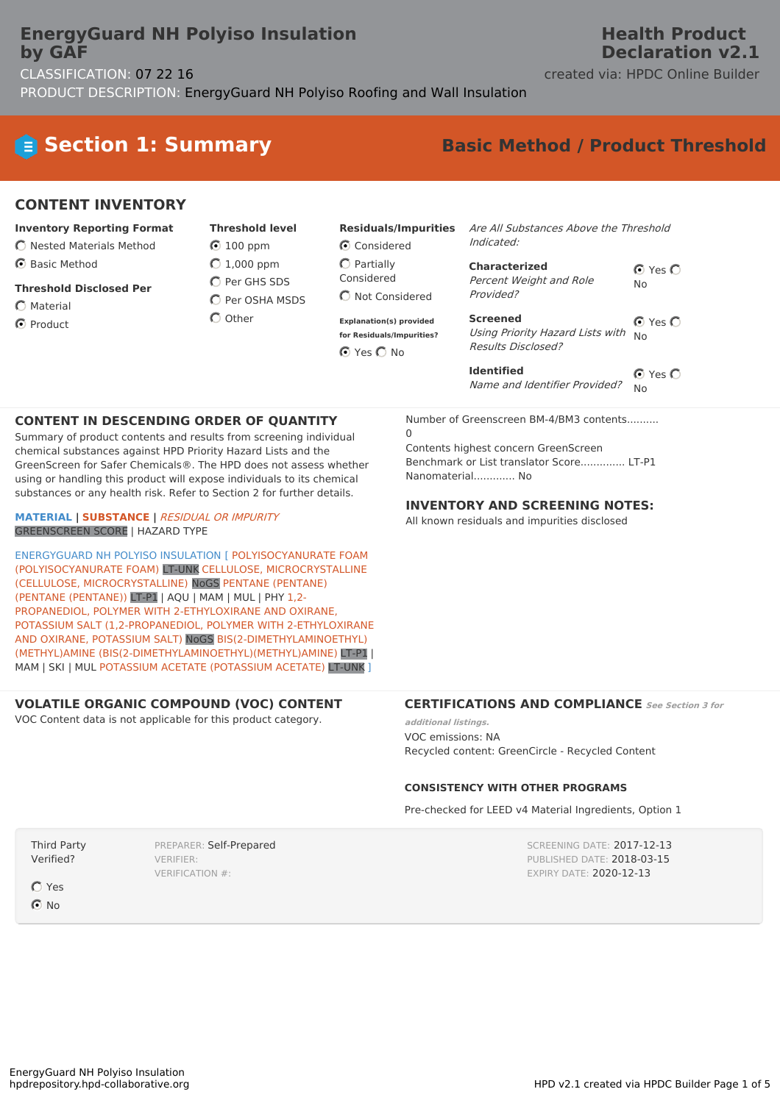### **EnergyGuard NH Polyiso Insulation by GAF**

#### CLASSIFICATION: 07 22 16 created via: HPDC Online Builder PRODUCT DESCRIPTION: EnergyGuard NH Polyiso Roofing and Wall Insulation

### **Health Product Declaration v2.1**

# **Section 1: Summary Basic Method / Product Threshold**

### **CONTENT INVENTORY**

- **Inventory Reporting Format**
- $\bigcirc$  Nested Materials Method
- **6** Basic Method
- **Threshold Disclosed Per**
- $\bigcap$  Material
- **O** Product

**Threshold level**  $\odot$  100 ppm  $O$  1,000 ppm C Per GHS SDS

 $O$  Per OSHA MSDS  $\bigcap$  Other

**Explanation(s) provided for Residuals/Impurities?** ⊙ Yes ○ No

Considered  $O$  Partially Considered C Not Considered

**Residuals/Impurities**

Are All Substances Above the Threshold Indicated:

| <b>Characterized</b>    | $\bigcirc$ Yes $\bigcirc$ |  |  |
|-------------------------|---------------------------|--|--|
| Percent Weight and Role | N٥                        |  |  |
| Provided?               |                           |  |  |

⊙ Yes O No **Screened** Using Priority Hazard Lists with Results Disclosed?

⊙ Yes O No **Identified** Name and Identifier Provided?

#### **CONTENT IN DESCENDING ORDER OF QUANTITY**

Summary of product contents and results from screening individual chemical substances against HPD Priority Hazard Lists and the GreenScreen for Safer Chemicals®. The HPD does not assess whether using or handling this product will expose individuals to its chemical substances or any health risk. Refer to Section 2 for further details.

**MATERIAL | SUBSTANCE |** RESIDUAL OR IMPURITY GREENSCREEN SCORE | HAZARD TYPE

ENERGYGUARD NH POLYISO INSULATION [ POLYISOCYANURATE FOAM (POLYISOCYANURATE FOAM) LT-UNK CELLULOSE, MICROCRYSTALLINE (CELLULOSE, MICROCRYSTALLINE) NoGS PENTANE (PENTANE) (PENTANE (PENTANE)) LT-P1 | AQU | MAM | MUL | PHY 1,2- PROPANEDIOL, POLYMER WITH 2-ETHYLOXIRANE AND OXIRANE, POTASSIUM SALT (1,2-PROPANEDIOL, POLYMER WITH 2-ETHYLOXIRANE AND OXIRANE, POTASSIUM SALT) NoGS BIS(2-DIMETHYLAMINOETHYL) (METHYL)AMINE (BIS(2-DIMETHYLAMINOETHYL)(METHYL)AMINE) LT-P1 | MAM | SKI | MUL POTASSIUM ACETATE (POTASSIUM ACETATE) LT-UNK ]

PREPARER: Self-Prepared

#### **VOLATILE ORGANIC COMPOUND (VOC) CONTENT**

VERIFIER: VERIFICATION #:

VOC Content data is not applicable for this product category.

#### Number of Greenscreen BM-4/BM3 contents..........  $\Omega$

Contents highest concern GreenScreen Benchmark or List translator Score.............. LT-P1 Nanomaterial............. No

#### **INVENTORY AND SCREENING NOTES:**

All known residuals and impurities disclosed

#### **CERTIFICATIONS AND COMPLIANCE See Section <sup>3</sup> for**

**additional listings.** VOC emissions: NA Recycled content: GreenCircle - Recycled Content

#### **CONSISTENCY WITH OTHER PROGRAMS**

Pre-checked for LEED v4 Material Ingredients, Option 1

SCREENING DATE: 2017-12-13 PUBLISHED DATE: 2018-03-15 EXPIRY DATE: 2020-12-13

Verified? **O** Yes

Third Party

**⊙**No

EnergyGuard NH Polyiso Insulation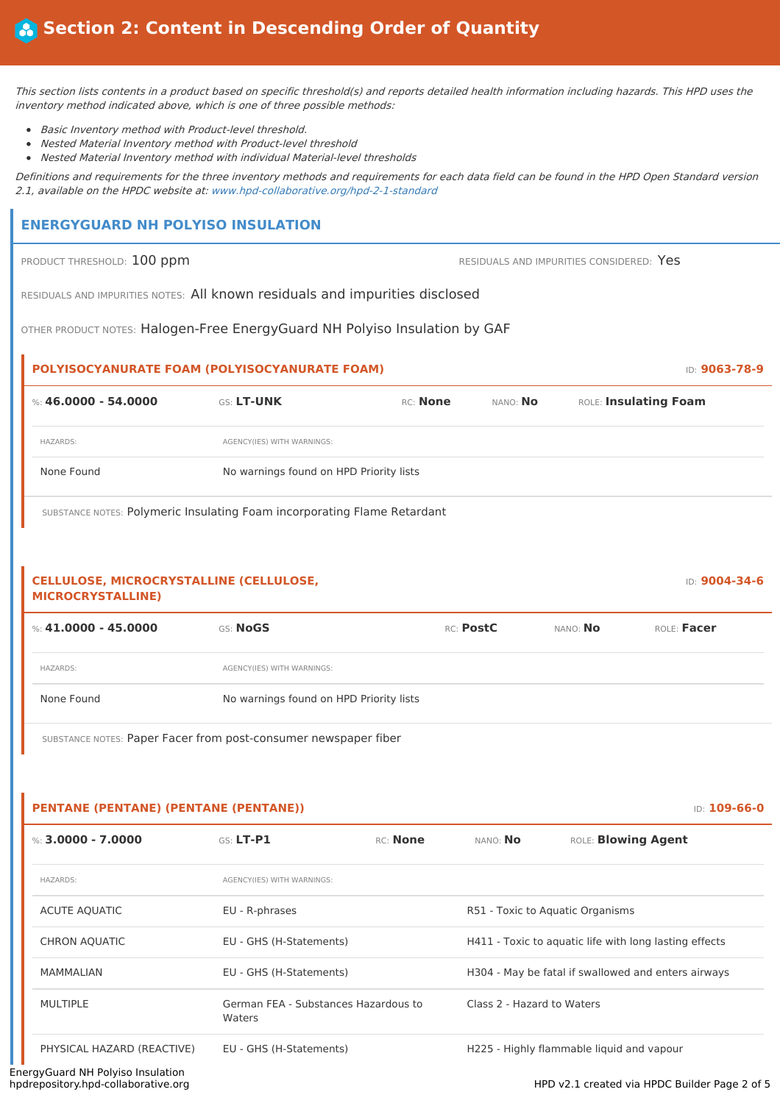This section lists contents in <sup>a</sup> product based on specific threshold(s) and reports detailed health information including hazards. This HPD uses the inventory method indicated above, which is one of three possible methods:

- Basic Inventory method with Product-level threshold.
- Nested Material Inventory method with Product-level threshold
- Nested Material Inventory method with individual Material-level thresholds

Definitions and requirements for the three inventory methods and requirements for each data field can be found in the HPD Open Standard version 2.1, available on the HPDC website at: www.hpd-collaborative.org/hpd-2-1-standard

#### **ENERGYGUARD NH POLYISO INSULATION**

PRODUCT THRESHOLD: 100 ppm **RESIDUALS** AND IMPURITIES CONSIDERED: Yes

RESIDUALS AND IMPURITIES NOTES: All known residuals and impurities disclosed

OTHER PRODUCT NOTES: Halogen-Free EnergyGuard NH Polyiso Insulation by GAF

# **POLYISOCYANURATE FOAM (POLYISOCYANURATE FOAM)** ID: **9063-78-9** %: **46.0000 - 54.0000** GS: **LT-UNK** RC: **None** NANO: **No** ROLE: **Insulating Foam** HAZARDS: AGENCY(IES) WITH WARNINGS: None Found No warnings found on HPD Priority lists

SUBSTANCE NOTES: Polymeric Insulating Foam incorporating Flame Retardant

#### **CELLULOSE, MICROCRYSTALLINE (CELLULOSE, MICROCRYSTALLINE)**

| %: $41.0000 - 45.0000$ | <b>GS: NoGS</b>                         | RC: PostC | NANO: No | ROLE: Facer |
|------------------------|-----------------------------------------|-----------|----------|-------------|
| <b>HAZARDS:</b>        | AGENCY(IES) WITH WARNINGS:              |           |          |             |
| None Found             | No warnings found on HPD Priority lists |           |          |             |

SUBSTANCE NOTES: Paper Facer from post-consumer newspaper fiber

#### **PENTANE (PENTANE) (PENTANE (PENTANE))** ID: **109-66-0**

| %: 3,0000 - 7,0000         | $GS$ $LT-P1$                                   | RC: None                         | NANO <sup>.</sup> No                                   | ROLE: <b>Blowing Agent</b>                |  |
|----------------------------|------------------------------------------------|----------------------------------|--------------------------------------------------------|-------------------------------------------|--|
| HAZARDS:                   | AGENCY(IES) WITH WARNINGS:                     |                                  |                                                        |                                           |  |
| ACUTE AQUATIC              | EU - R-phrases                                 | R51 - Toxic to Aquatic Organisms |                                                        |                                           |  |
| <b>CHRON AQUATIC</b>       | EU - GHS (H-Statements)                        |                                  | H411 - Toxic to aguatic life with long lasting effects |                                           |  |
| MAMMALIAN                  | EU - GHS (H-Statements)                        |                                  | H304 - May be fatal if swallowed and enters airways    |                                           |  |
| MULTIPLE                   | German FEA - Substances Hazardous to<br>Waters |                                  | Class 2 - Hazard to Waters                             |                                           |  |
| PHYSICAL HAZARD (REACTIVE) | EU - GHS (H-Statements)                        |                                  |                                                        | H225 - Highly flammable liquid and vapour |  |

HPD v2.1 created via HPDC Builder Page 2 of 5

ID: **9004-34-6**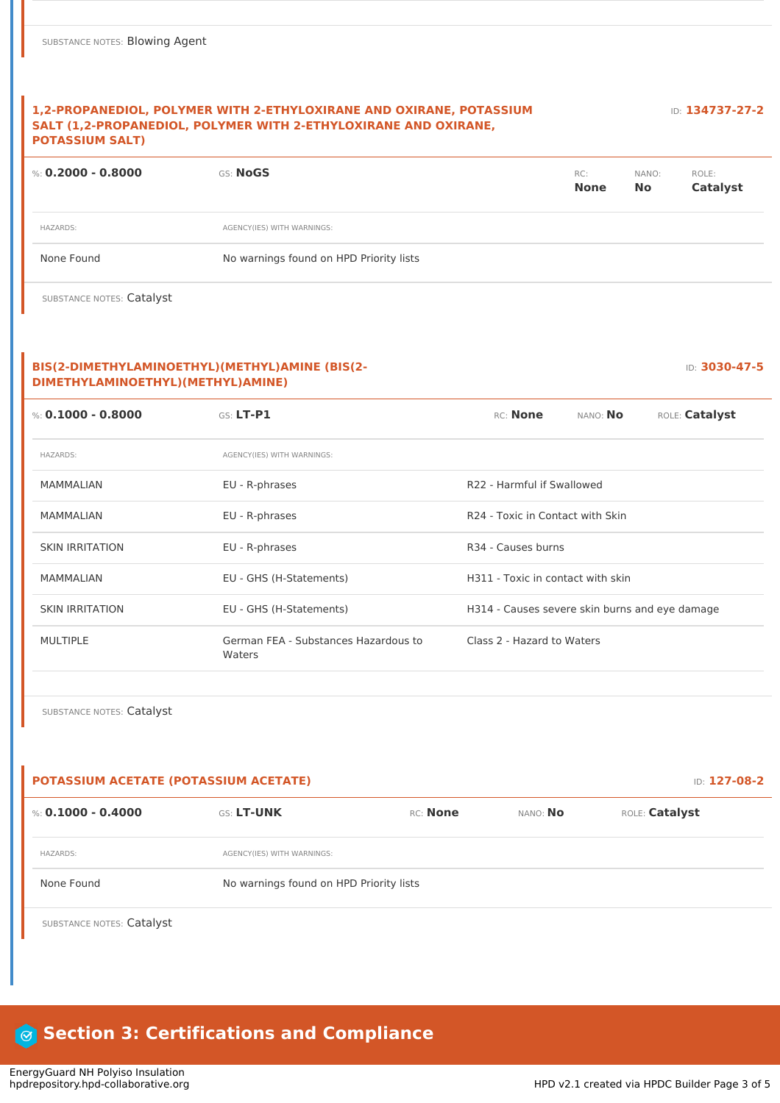#### **1,2-PROPANEDIOL, POLYMER WITH 2-ETHYLOXIRANE AND OXIRANE, POTASSIUM SALT (1,2-PROPANEDIOL, POLYMER WITH 2-ETHYLOXIRANE AND OXIRANE, POTASSIUM SALT)**

%: **0.2000 - 0.8000** GS: **NoGS** RC: **None** NANO: **No** ROLE: **Catalyst** HAZARDS: AGENCY(IES) WITH WARNINGS: None Found Nowarnings found on HPD Priority lists

SUBSTANCE NOTES: Catalyst

#### **BIS(2-DIMETHYLAMINOETHYL)(METHYL)AMINE (BIS(2- DIMETHYLAMINOETHYL)(METHYL)AMINE)**

| %: 0.1000 - 0.8000     | GS: LT-P1                                      | RC: None<br>NANO: No<br>ROLE: Catalyst         |  |  |
|------------------------|------------------------------------------------|------------------------------------------------|--|--|
| <b>HAZARDS:</b>        | AGENCY(IES) WITH WARNINGS:                     |                                                |  |  |
| <b>MAMMALIAN</b>       | EU - R-phrases                                 | R22 - Harmful if Swallowed                     |  |  |
| MAMMALIAN              | EU - R-phrases                                 | R <sub>24</sub> - Toxic in Contact with Skin   |  |  |
| <b>SKIN IRRITATION</b> | EU - R-phrases                                 | R34 - Causes burns                             |  |  |
| <b>MAMMALIAN</b>       | EU - GHS (H-Statements)                        | H311 - Toxic in contact with skin              |  |  |
| <b>SKIN IRRITATION</b> | EU - GHS (H-Statements)                        | H314 - Causes severe skin burns and eye damage |  |  |
| <b>MULTIPLE</b>        | German FEA - Substances Hazardous to<br>Waters | Class 2 - Hazard to Waters                     |  |  |

SUBSTANCE NOTES: Catalyst

| <b>POTASSIUM ACETATE (POTASSIUM ACETATE)</b> |                            |                                         | <b>ID: 127-08-2</b> |                |
|----------------------------------------------|----------------------------|-----------------------------------------|---------------------|----------------|
| %: 0.1000 - 0.4000                           | <b>GS: LT-UNK</b>          | RC: None                                | NANO: No            | ROLE: Catalyst |
| <b>HAZARDS:</b>                              | AGENCY(IES) WITH WARNINGS: |                                         |                     |                |
| None Found                                   |                            | No warnings found on HPD Priority lists |                     |                |

SUBSTANCE NOTES: Catalyst

### **Section 3: Certifications and Compliance**

ID: **134737-27-2**

ID: **3030-47-5**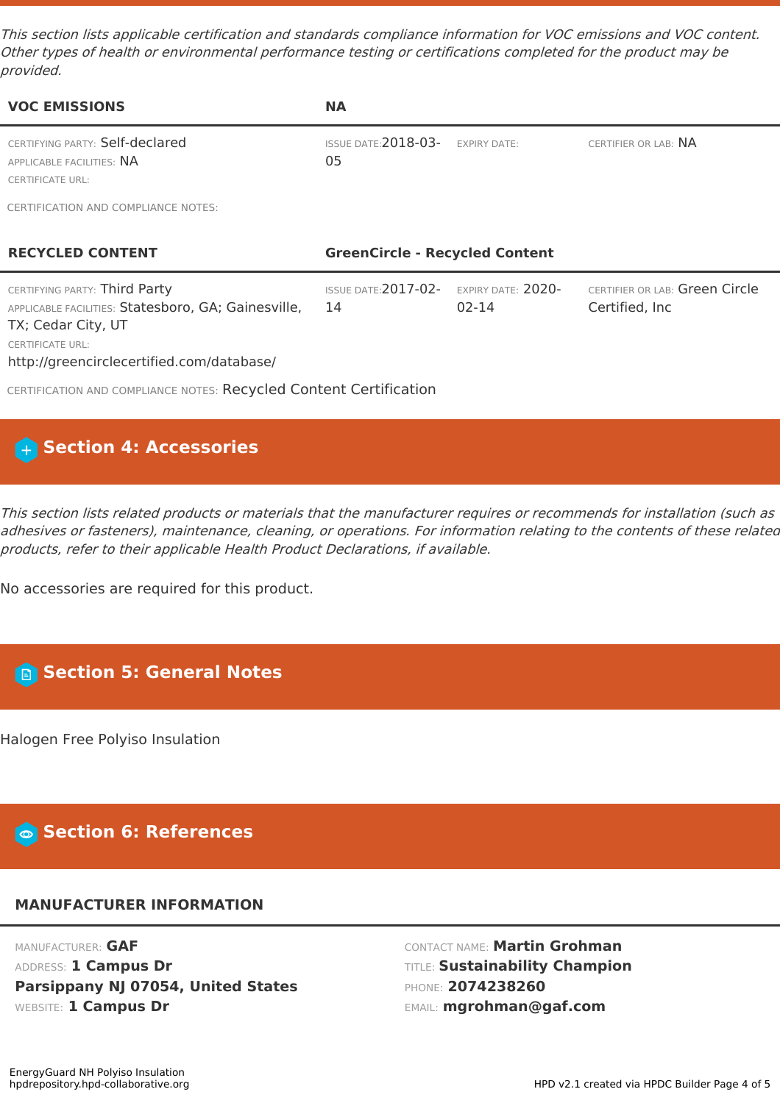This section lists applicable certification and standards compliance information for VOC emissions and VOC content. Other types of health or environmental performance testing or certifications completed for the product may be provided.

| <b>VOC EMISSIONS</b>                                                                                                                                                               | <b>NA</b>                             |                             |                                                   |  |
|------------------------------------------------------------------------------------------------------------------------------------------------------------------------------------|---------------------------------------|-----------------------------|---------------------------------------------------|--|
| CERTIFYING PARTY: Self-declared<br>APPLICABLE FACILITIES: NA<br><b>CERTIFICATE URL:</b>                                                                                            | <b>ISSUE DATE: 2018-03-</b><br>05     | <b>EXPIRY DATE:</b>         | CERTIFIER OR LAB: NA                              |  |
| CERTIFICATION AND COMPLIANCE NOTES:                                                                                                                                                |                                       |                             |                                                   |  |
| <b>RECYCLED CONTENT</b>                                                                                                                                                            | <b>GreenCircle - Recycled Content</b> |                             |                                                   |  |
| CERTIFYING PARTY: Third Party<br>APPLICABLE FACILITIES: Statesboro, GA; Gainesville,<br>TX; Cedar City, UT<br><b>CERTIFICATE URL:</b><br>http://greencirclecertified.com/database/ | <b>ISSUE DATE: 2017-02-</b><br>14     | EXPIRY DATE: 2020-<br>02-14 | CERTIFIER OR LAB: Green Circle<br>Certified, Inc. |  |
| CERTIFICATION AND COMPLIANCE NOTES: Recycled Content Certification                                                                                                                 |                                       |                             |                                                   |  |

### **Section 4: Accessories**

This section lists related products or materials that the manufacturer requires or recommends for installation (such as adhesives or fasteners), maintenance, cleaning, or operations. For information relating to the contents of these related products, refer to their applicable Health Product Declarations, if available.

No accessories are required for this product.

## **Section 5: General Notes**

Halogen Free Polyiso Insulation

### **Section 6: References**

### **MANUFACTURER INFORMATION**

MANUFACTURER: **GAF** ADDRESS: **1 Campus Dr Parsippany NJ 07054, United States** WEBSITE: **1 Campus Dr**

CONTACT NAME: **Martin Grohman** TITLE: **Sustainability Champion** PHONE: **2074238260** EMAIL: **mgrohman@gaf.com**